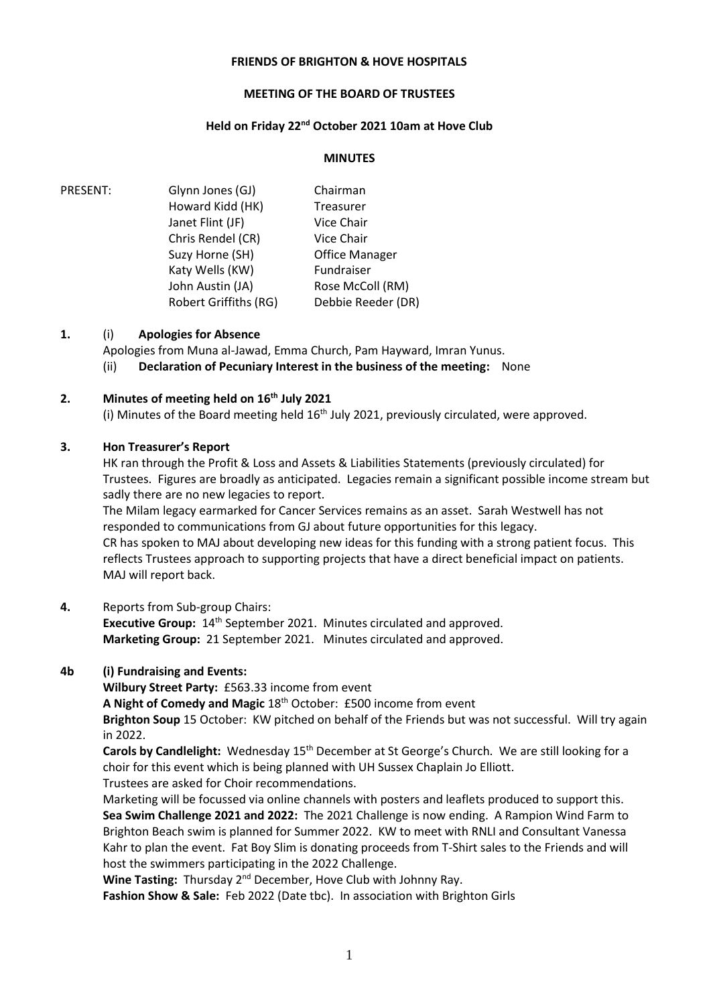## **FRIENDS OF BRIGHTON & HOVE HOSPITALS**

## **MEETING OF THE BOARD OF TRUSTEES**

# **Held on Friday 22nd October 2021 10am at Hove Club**

### **MINUTES**

PRESENT: Glynn Jones (GJ) Howard Kidd (HK) Janet Flint (JF) Chris Rendel (CR) Suzy Horne (SH) Katy Wells (KW) Chairman Treasurer Vice Chair Vice Chair Office Manager Fundraiser John Austin (JA) Robert Griffiths (RG) Rose McColl (RM) Debbie Reeder (DR)

## **1.** (i) **Apologies for Absence**

Apologies from Muna al-Jawad, Emma Church, Pam Hayward, Imran Yunus.

(ii) **Declaration of Pecuniary Interest in the business of the meeting:** None

## **2. Minutes of meeting held on 16th July 2021**

(i) Minutes of the Board meeting held  $16<sup>th</sup>$  July 2021, previously circulated, were approved.

## **3. Hon Treasurer's Report**

HK ran through the Profit & Loss and Assets & Liabilities Statements (previously circulated) for Trustees. Figures are broadly as anticipated. Legacies remain a significant possible income stream but sadly there are no new legacies to report.

The Milam legacy earmarked for Cancer Services remains as an asset. Sarah Westwell has not responded to communications from GJ about future opportunities for this legacy. CR has spoken to MAJ about developing new ideas for this funding with a strong patient focus. This reflects Trustees approach to supporting projects that have a direct beneficial impact on patients. MAJ will report back.

#### **4.** Reports from Sub-group Chairs:

**Executive Group:**  $14<sup>th</sup>$  September 2021. Minutes circulated and approved. **Marketing Group:** 21 September 2021. Minutes circulated and approved.

#### **4b (i) Fundraising and Events:**

**Wilbury Street Party:** £563.33 income from event

**A Night of Comedy and Magic** 18th October:£500 income from event

**Brighton Soup** 15 October:KW pitched on behalf of the Friends but was not successful. Will try again in 2022.

**Carols by Candlelight:** Wednesday 15th December at St George's Church. We are still looking for a choir for this event which is being planned with UH Sussex Chaplain Jo Elliott.

Trustees are asked for Choir recommendations.

Marketing will be focussed via online channels with posters and leaflets produced to support this. **Sea Swim Challenge 2021 and 2022:** The 2021 Challenge is now ending. A Rampion Wind Farm to Brighton Beach swim is planned for Summer 2022. KW to meet with RNLI and Consultant Vanessa Kahr to plan the event. Fat Boy Slim is donating proceeds from T-Shirt sales to the Friends and will host the swimmers participating in the 2022 Challenge.

Wine Tasting: Thursday 2<sup>nd</sup> December, Hove Club with Johnny Ray. **Fashion Show & Sale:** Feb 2022 (Date tbc). In association with Brighton Girls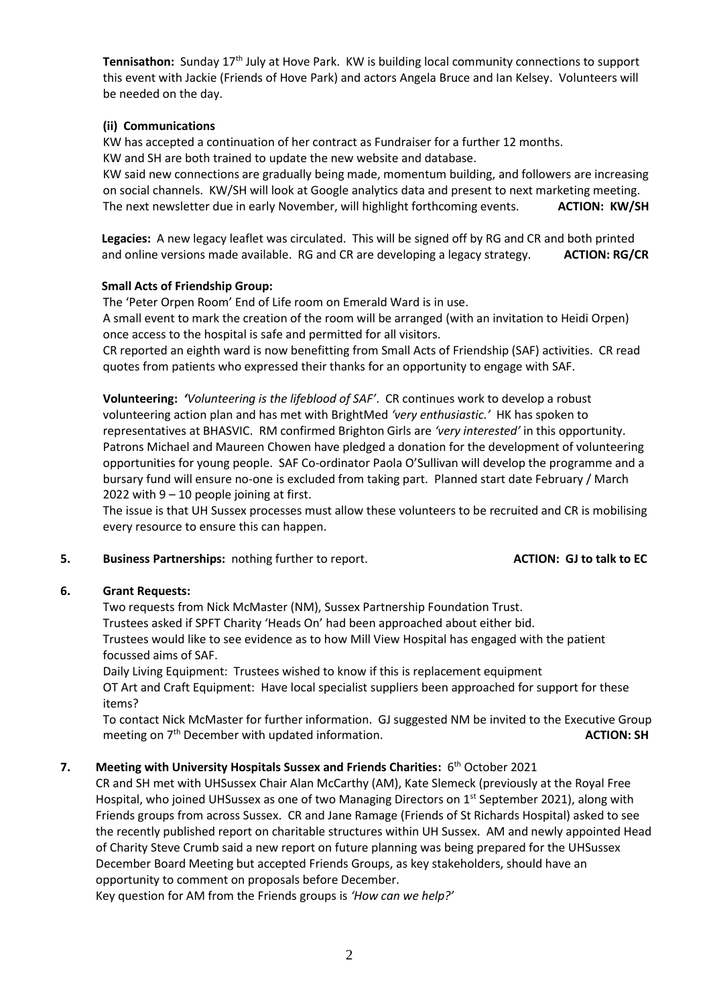**Tennisathon:** Sunday 17th July at Hove Park. KW is building local community connections to support this event with Jackie (Friends of Hove Park) and actors Angela Bruce and Ian Kelsey. Volunteers will be needed on the day.

# **(ii) Communications**

KW has accepted a continuation of her contract as Fundraiser for a further 12 months.

KW and SH are both trained to update the new website and database.

KW said new connections are gradually being made, momentum building, and followers are increasing on social channels. KW/SH will look at Google analytics data and present to next marketing meeting. The next newsletter due in early November, will highlight forthcoming events. **ACTION: KW/SH**

 **Legacies:** A new legacy leaflet was circulated. This will be signed off by RG and CR and both printed and online versions made available. RG and CR are developing a legacy strategy. **ACTION: RG/CR**

# **Small Acts of Friendship Group:**

The 'Peter Orpen Room' End of Life room on Emerald Ward is in use.

A small event to mark the creation of the room will be arranged (with an invitation to Heidi Orpen) once access to the hospital is safe and permitted for all visitors.

CR reported an eighth ward is now benefitting from Small Acts of Friendship (SAF) activities. CR read quotes from patients who expressed their thanks for an opportunity to engage with SAF.

**Volunteering:** *'Volunteering is the lifeblood of SAF'*. CR continues work to develop a robust volunteering action plan and has met with BrightMed *'very enthusiastic.'* HK has spoken to representatives at BHASVIC. RM confirmed Brighton Girls are *'very interested'* in this opportunity. Patrons Michael and Maureen Chowen have pledged a donation for the development of volunteering opportunities for young people. SAF Co-ordinator Paola O'Sullivan will develop the programme and a bursary fund will ensure no-one is excluded from taking part. Planned start date February / March 2022 with  $9 - 10$  people joining at first.

The issue is that UH Sussex processes must allow these volunteers to be recruited and CR is mobilising every resource to ensure this can happen.

**5. Business Partnerships:** nothing further to report. **ACTION: GJ to talk to EC**

# **6. Grant Requests:**

Two requests from Nick McMaster (NM), Sussex Partnership Foundation Trust.

Trustees asked if SPFT Charity 'Heads On' had been approached about either bid.

Trustees would like to see evidence as to how Mill View Hospital has engaged with the patient focussed aims of SAF.

Daily Living Equipment: Trustees wished to know if this is replacement equipment

OT Art and Craft Equipment: Have local specialist suppliers been approached for support for these items?

To contact Nick McMaster for further information. GJ suggested NM be invited to the Executive Group meeting on 7<sup>th</sup> December with updated information. **ACTION: SH ACTION: SH** 

# 7. Meeting with University Hospitals Sussex and Friends Charities: 6<sup>th</sup> October 2021

CR and SH met with UHSussex Chair Alan McCarthy (AM), Kate Slemeck (previously at the Royal Free Hospital, who joined UHSussex as one of two Managing Directors on 1<sup>st</sup> September 2021), along with Friends groups from across Sussex. CR and Jane Ramage (Friends of St Richards Hospital) asked to see the recently published report on charitable structures within UH Sussex. AM and newly appointed Head of Charity Steve Crumb said a new report on future planning was being prepared for the UHSussex December Board Meeting but accepted Friends Groups, as key stakeholders, should have an opportunity to comment on proposals before December.

Key question for AM from the Friends groups is *'How can we help?'*